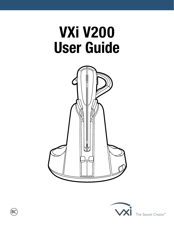# **VXi V200 User Guide**





The Sound Choice<sup>™</sup>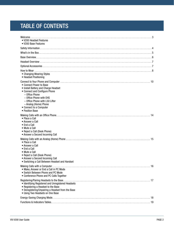# TABLE OF CONTENTS

| • V200 Headset Features<br>• V200 Base Features                                                                                                                                                                                                        |
|--------------------------------------------------------------------------------------------------------------------------------------------------------------------------------------------------------------------------------------------------------|
|                                                                                                                                                                                                                                                        |
|                                                                                                                                                                                                                                                        |
|                                                                                                                                                                                                                                                        |
|                                                                                                                                                                                                                                                        |
|                                                                                                                                                                                                                                                        |
| • Changing Wearing Styles<br>• Headset Positioning                                                                                                                                                                                                     |
| • Connect Power to Base<br>• Install Battery and Charge Headset<br>• Connect and Configure Phone<br>- Office Phone<br>- Office Phone with EHS<br>- Office Phone with L50 Lifter<br>- Analog (Home) Phone<br>• Connect to a Computer<br>• Position Base |
| • Place a Call<br>• Answer a Call<br>• End a Call<br>• Mute a Call<br>• Reject a Call (Desk Phone)<br>• Answer a Second Incoming Call                                                                                                                  |
| • Place a Call<br>• Answer a Call<br>• End a Call<br>• Mute a Call<br>• Reject a Call (Desk Phone)<br>• Answer a Second Incoming Call<br>• Switching a Call Between Headset and Handset                                                                |
| • Make, Answer or End a Call in PC Mode<br>• Switch Between Phone and PC Mode<br>• Conference Phone and PC Calls Together                                                                                                                              |
| • Identifying Registered and Unregistered Headsets<br>• Registering a Headset to the Base<br>• Deregistering/Unpairing a Headset from the Base<br>• Using Two Headsets on One Base                                                                     |
|                                                                                                                                                                                                                                                        |
|                                                                                                                                                                                                                                                        |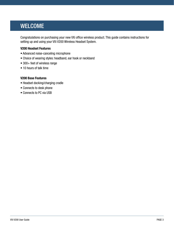# <span id="page-2-0"></span>WELCOME

Congratulations on purchasing your new VXi office wireless product. This guide contains instructions for setting up and using your VXi V200 Wireless Headset System.

#### **V200 Headset Features**

- Advanced noise-canceling microphone
- Choice of wearing styles: headband, ear hook or neckband
- 300+ feet of wireless range
- 10 hours of talk time

#### **V200 Base Features**

- Headset docking/charging cradle
- Connects to desk phone
- Connects to PC via USB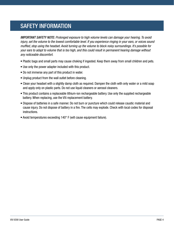# <span id="page-3-0"></span>SAFETY INFORMATION

*IMPORTANT SAFETY NOTE: Prolonged exposure to high volume levels can damage your hearing. To avoid injury, set the volume to the lowest comfortable level. If you experience ringing in your ears, or voices sound muffled, stop using the headset. Avoid turning up the volume to block noisy surroundings. It's possible for your ears to adapt to volume that is too high, and this could result in permanent hearing damage without any noticeable discomfort.*

- Plastic bags and small parts may cause choking if ingested. Keep them away from small children and pets.
- Use only the power adapter included with this product.
- Do not immerse any part of this product in water.
- Unplug product from the wall outlet before cleaning.
- Clean your headset with a slightly damp cloth as required. Dampen the cloth with only water or a mild soap and apply only on plastic parts. Do not use liquid cleaners or aerosol cleaners.
- This product contains a replaceable lithium-ion rechargeable battery. Use only the supplied rechargeable battery. When replacing, use the VXi replacement battery.
- Dispose of batteries in a safe manner. Do not burn or puncture which could release caustic material and cause injury. Do not dispose of battery in a fire. The cells may explode. Check with local codes for disposal instructions.
- Avoid temperatures exceeding 140° F (will cause equipment failure).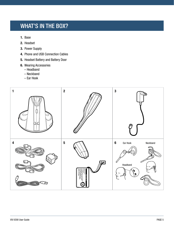# <span id="page-4-0"></span>WHAT'S IN THE BOX?

- **1.** Base
- **2.** Headset
- **3.** Power Supply
- **4.** Phone and USB Connection Cables
- **5.** Headset Battery and Battery Door
- **6.** Wearing Accessories
	- Headband
	- Neckband
	- Ear Hook

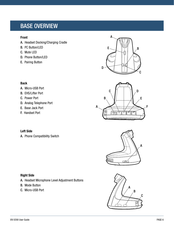# <span id="page-5-0"></span>BASE OVERVIEW

#### **Front**

**Back**

- A. Headset Docking/Charging Cradle
- B. PC Button/LED
- C. Mute LED
- D. Phone Button/LED
- E. Pairing Button

A. Micro-USB Port B. EHS/Lifter Port C. Power Port

E. Base Jack Port F. Handset Port

D. Analog Telephone Port

A. Phone Compatibility Switch









# **Right Side**

**Left Side**

- A. Headset Microphone Level Adjustment Buttons
- B. Mode Button
- C. Micro-USB Port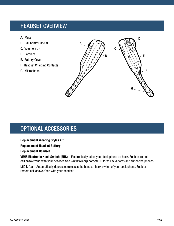# <span id="page-6-0"></span>HEADSET OVERVIEW

- A. Mute
- B. Call Control On/Off
- C. Volume  $+$  / -
- D. Earpiece
- E. Battery Cover
- F. Headset Charging Contacts
- G. Microphone



# <span id="page-6-1"></span>OPTIONAL ACCESSORIES

#### **Replacement Wearing Styles Kit**

#### **Replacement Headset Battery**

#### **Replacement Headset**

**VEHS Electronic Hook Switch (EHS)** – Electronically takes your desk phone off hook. Enables remote call answer/end with your headset. See [www.vxicorp.com/VEHS](http://www.vxicorp.com/VEHS) for VEHS variants and supported phones.

**L50 Lifter** – Automatically depresses/releases the handset hook switch of your desk phone. Enables remote call answer/end with your headset.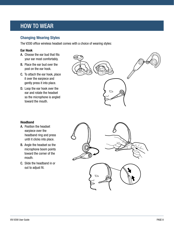# <span id="page-7-0"></span>HOW TO WEAR

### **Changing Wearing Styles**

The V200 office wireless headset comes with a choice of wearing styles:

#### **Ear Hook**

- A. Choose the ear bud that fits your ear most comfortably.
- B. Place the ear bud over the post on the ear hook.
- C. To attach the ear hook, place it over the earpiece and gently press it into place.
- D. Loop the ear hook over the ear and rotate the headset so the microphone is angled toward the mouth.



#### **Headband**

- A. Position the headset earpiece over the headband ring and press until it clicks into place.
- B. Angle the headset so the microphone boom points toward the corner of the mouth.
- C. Slide the headband in or out to adjust fit.

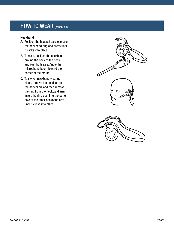# HOW TO WEAR (continued)

#### **Neckband**

- A. Position the headset earpiece over the neckband ring and press until it clicks into place.
- B. To wear, position the neckband around the back of the neck and over both ears. Angle the microphone boom toward the corner of the mouth.
- C. To switch neckband wearing sides, remove the headset from the neckband, and then remove the ring from the neckband arm. Insert the ring post into the bottom hole of the other neckband arm until it clicks into place.

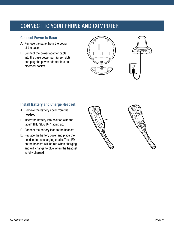# <span id="page-9-0"></span>CONNECT TO YOUR PHONE AND COMPUTER

### **Connect Power to Base**

- A. Remove the panel from the bottom of the base.
- B. Connect the power adapter cable into the base power port (green dot) and plug the power adapter into an electrical socket.





### **Install Battery and Charge Headset**

- A. Remove the battery cover from the headset.
- B. Insert the battery into position with the label "THIS SIDE UP" facing up.
- C. Connect the battery lead to the headset.
- D. Replace the battery cover and place the headset in the charging cradle. The LED on the headset will be red when charging and will change to blue when the headset is fully charged.



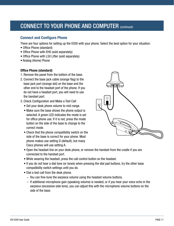# CONNECT TO YOUR PHONE AND COMPUTER (continued)

### **Connect and Configure Phone**

There are four options for setting up the V200 with your phone. Select the best option for your situation:

- Office Phone (standard)
- Office Phone with EHS (sold separately)
- Office Phone with L50 Lifter (sold separately)
- Analog (Home) Phone

#### **Office Phone (standard)**

- 1. Remove the panel from the bottom of the base.
- 2. Connect the base jack cable (orange flag) to the base jack port (orange dot) on the base and the other end to the headset port of the phone. If you do not have a headset port, you will need to use the handset port.
- 3. Check Configuration and Make a Test Call:
	- Set your desk phone volume to mid-range.
	- Make sure the base shows the phone output is selected. A green LED indicates the mode is set for office phone use. If it is red, press the mode button on the side of the base to change to the correct mode.
	- Check that the phone compatibility switch on the side of the base is correct for your phone. Most phone makes use setting D (default), but many Cisco phones will use setting A.



- Open the headset line on your desk phone, or remove the handset from the cradle if you are connected to the handset port.
- While wearing the headset, press the call control button on the headset.
- If you do not hear a dial tone (or tones) when pressing the dial pad buttons, try the other base compatibility switch settings until you do.
- Dial a test call from the desk phone.
	- You can fine-tune the earpiece volume using the headset volume buttons.
	- If additional microphone gain (speaking volume) is needed, or if you hear your voice echo in the earpiece (excessive side tone), you can adjust this with the microphone volume buttons on the side of the base.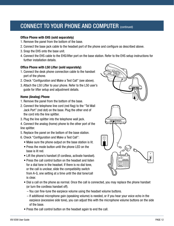# CONNECT TO YOUR PHONE AND COMPUTER (continued)

#### **Office Phone with EHS (sold separately)**

- 1. Remove the panel from the bottom of the base.
- 2. Connect the base jack cable to the headset port of the phone and configure as described above.
- 3. Snap the EHS onto the base unit.
- 4. Connect the EHS cable to the EHS/lifter port on the base station. Refer to the EHS setup instructions for further installation details.

#### **Office Phone with L50 Lifter (sold separately)**

- 1. Connect the desk phone connection cable to the handset port of the phone.
- 2. Check "Configuration and Make a Test Call" (see above).
- 3. Attach the L50 Lifter to your phone. Refer to the L50 user's guide for lifter setup and adjustment details.

#### **Home (Analog) Phone**

- 1. Remove the panel from the bottom of the base.
- 2. Connect the telephone line cord (red flag) to the "Tel Wall Jack Port" (red dot) on the base. Plug the other end of the cord into the line splitter.
- 3. Plug the line splitter into the telephone wall jack.
- 4. Connect the analog (home) phone to the other port of the line splitter.
- 5. Replace the panel on the bottom of the base station.
- 6. Check "Configuration and Make a Test Call":
	- Make sure the phone output on the base station is lit.
	- Press the mode button until the phone LED on the base is lit red.
	- Lift the phone's handset (if cordless, activate handset).
	- Press the call control button on the headset and listen for a dial tone in the headset. If there is no dial tone, or the call is unclear, slide the compatibility switch from A-G, one setting at a time until the dial tone/call is clear.



- Dial a call on the phone as normal. Once the call is connected, you may replace the phone handset (or turn the cordless handset off).
	- You can fine-tune the earpiece volume using the headset volume buttons.
	- If additional microphone gain (speaking volume) is needed, or if you hear your voice echo in the earpiece (excessive side tone), you can adjust this with the microphone volume buttons on the side of the base.
- Press the call control button on the headset again to end the call.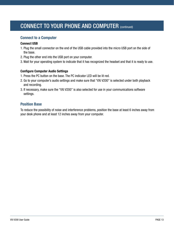# CONNECT TO YOUR PHONE AND COMPUTER (continued)

### **Connect to a Computer**

#### **Connect USB**

- 1. Plug the small connector on the end of the USB cable provided into the micro USB port on the side of the base.
- 2. Plug the other end into the USB port on your computer.
- 3. Wait for your operating system to indicate that it has recognized the headset and that it is ready to use.

#### **Configure Computer Audio Settings**

- 1. Press the PC button on the base. The PC indicator LED will be lit red.
- 2. Go to your computer's audio settings and make sure that "VXi V200" is selected under both playback and recording.
- 3. If necessary, make sure the "VXi V200" is also selected for use in your communications software settings.

### **Position Base**

To reduce the possibility of noise and interference problems, position the base at least 6 inches away from your desk phone and at least 12 inches away from your computer.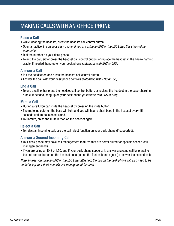# <span id="page-13-0"></span>MAKING CALLS WITH AN OFFICE PHONE

### **Place a Call**

- While wearing the headset, press the headset call control button.
- Open an active line on your desk phone. *If you are using an EHS or the L50 Lifter, this step will be automatic.*
- Dial the number on your desk phone.
- To end the call, either press the headset call control button, or replace the headset in the base-charging cradle. If needed, hang up on your desk phone *(automatic with EHS or L50)*.

### **Answer a Call**

- Put the headset on and press the headset call control button.
- Answer the call with your desk phone controls *(automatic with EHS or L50)*.

### **End a Call**

• To end a call, either press the headset call control button, or replace the headset in the base-charging cradle. If needed, hang up on your desk phone *(automatic with EHS or L50).*

### **Mute a Call**

- During a call, you can mute the headset by pressing the mute button.
- The mute indicator on the base will light and you will hear a short beep in the headset every 15 seconds until mute is deactivated.
- To unmute, press the mute button on the headset again.

### **Reject a Call**

• To reject an incoming call, use the call reject function on your desk phone (if supported).

### **Answer a Second Incoming Call**

- Your desk phone may have call management features that are better suited for specific second-callmanagement needs.
- If you are using an EHS or L50, and if your desk phone supports it, answer a second call by pressing the call control button on the headset once (to end the first call) and again (to answer the second call).

*Note: Unless you have an EHS or the L50 Lifter attached, the call on the desk phone will also need to be ended using your desk phone's call-management features.*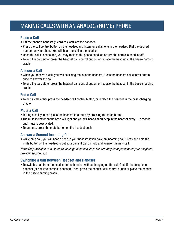# <span id="page-14-0"></span>MAKING CALLS WITH AN ANALOG (HOME) PHONE

### **Place a Call**

- Lift the phone's handset (if cordless, activate the handset).
- Press the call control button on the headset and listen for a dial tone in the headset. Dial the desired number on your phone. You will hear the call in the headset.
- Once the call is connected, you may replace the phone handset, or turn the cordless handset off.
- To end the call, either press the headset call control button, or replace the headset in the base-charging cradle.

### **Answer a Call**

- When you receive a call, you will hear ring tones in the headset. Press the headset call control button once to answer the call.
- To end the call, either press the headset call control button, or replace the headset in the base-charging cradle.

### **End a Call**

• To end a call, either press the headset call control button, or replace the headset in the base-charging cradle.

### **Mute a Call**

- During a call, you can place the headset into mute by pressing the mute button.
- The mute indicator on the base will light and you will hear a short beep in the headset every 15 seconds until mute is deactivated.
- To unmute, press the mute button on the headset again.

### **Answer a Second Incoming Call**

• While on a call, you will hear a beep in your headset if you have an incoming call. Press and hold the mute button on the headset to put your current call on hold and answer the new call.

*Note: Only available with standard (analog) telephone lines. Feature may be dependent on your telephone provider subscription.*

### **Switching a Call Between Headset and Handset**

• To switch a call from the headset to the handset without hanging up the call, first lift the telephone handset (or activate cordless handset). Then, press the headset call control button or place the headset in the base-charging cradle.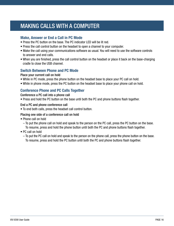# <span id="page-15-0"></span>MAKING CALLS WITH A COMPUTER

### **Make, Answer or End a Call in PC Mode**

- Press the PC button on the base. The PC indicator LED will be lit red.
- Press the call control button on the headset to open a channel to your computer.
- Make the call using your communications software as usual. You will need to use the software controls to answer and end calls.
- When you are finished, press the call control button on the headset or place it back on the base-charging cradle to close the USB channel.

### **Switch Between Phone and PC Mode**

#### Place your current call on hold

- While in PC mode, press the phone button on the headset base to place your PC call on hold.
- While in phone mode, press the PC button on the headset base to place your phone call on hold.

### **Conference Phone and PC Calls Together**

#### Conference a PC call into a phone call

• Press and hold the PC button on the base until both the PC and phone buttons flash together.

#### End a PC and phone conference call

• To end both calls, press the headset call control button.

#### Placing one side of a conference call on hold

- Phone call on hold
	- To put the phone call on hold and speak to the person on the PC call, press the PC button on the base. To resume, press and hold the phone button until both the PC and phone buttons flash together.
- PC call on hold
	- To put the PC call on hold and speak to the person on the phone call, press the phone button on the base. To resume, press and hold the PC button until both the PC and phone buttons flash together.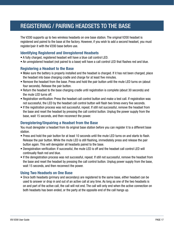# <span id="page-16-0"></span>REGISTERING / PAIRING HEADSETS TO THE BASE

The V200 supports up to two wireless headsets on one base station. The original V200 headset is registered and paired to the base at the factory. However, if you wish to add a second headset, you must register/pair it with the V200 base before use.

### **Identifying Registered and Unregistered Headsets**

- A fully charged, registered headset will have a blue call control LED.
- An unregistered headset (not paired to a base) will have a call control LED that flashes red and blue.

### **Registering a Headset to the Base**

- Make sure the battery is properly installed and the headset is charged. If it has not been charged, place the headset into base charging cradle and charge for at least five minutes.
- Remove the headset from the base. Press and hold the pair button until the mute LED turns on (about four seconds). Release the pair button.
- Return the headset to the base charging cradle until registration is complete (about 30 seconds) and the mute LED turns off.
- Registration verification: Press the headset call control button and make a test call. If registration was not successful, the LED by the headset call control button will flash two times every five seconds.
- If the registration process was not successful, repeat. If still not successful, remove the headset from the base and reset the headset by pressing the call control button. Unplug the power supply from the base, wait 15 seconds, and then reconnect the power.

### **Deregistering/Unpairing a Headset from the Base**

You must deregister a headset from its original base station before you can register it to a different base station.

- Press and hold the pair button for at least 10 seconds until the mute LED turns on and starts to flash. Release the pair button. While the mute LED is still flashing, immediately press and release the pair button again. This will deregister all headsets paired to the base.
- Deregistration verification: If successful, the mute LED is off and the headset call control LED will continually flash red and blue.
- If the deregistration process was not successful, repeat. If still not successful, remove the headset from the base and reset the headset by pressing the call control button. Unplug power supply from the base, wait 15 seconds, and then reconnect the power.

#### **Using Two Headsets on One Base**

• Once both headsets (primary and secondary) are registered to the same base, either headset can be used to answer or drop in and out of an active call at any time. As long as one of the two headsets is on and part of the active call, the call will not end. The call will only end when the active connection on both headsets has been ended, or the party at the opposite end of the call hangs up.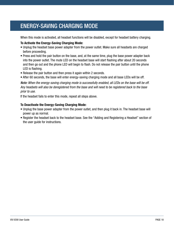# <span id="page-17-0"></span>ENERGY-SAVING CHARGING MODE

When this mode is activated, all headset functions will be disabled, except for headset battery charging.

#### **To Activate the Energy-Saving Charging Mode:**

- Unplug the headset base power adapter from the power outlet. Make sure all headsets are charged before proceeding.
- Press and hold the pair button on the base, and, at the same time, plug the base power adapter back into the power outlet. The mute LED on the headset base will start flashing after about 20 seconds and then go out and the phone LED will begin to flash. Do not release the pair button until the phone LED is flashing.
- Release the pair button and then press it again within 2 seconds.
- After 60 seconds, the base will enter energy-saving charging mode and all base LEDs will be off.

*Note: When the energy-saving charging mode is successfully enabled, all LEDs on the base will be off. Any headsets will also be deregistered from the base and will need to be registered back to the base prior to use.*

If the headset fails to enter this mode, repeat all steps above.

#### **To Deactivate the Energy-Saving Charging Mode:**

- Unplug the base power adapter from the power outlet, and then plug it back in. The headset base will power up as normal.
- Register the headset back to the headset base. See the "Adding and Registering a Headset" section of the user guide for instructions.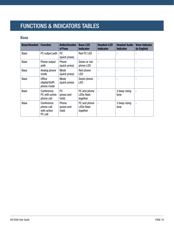# <span id="page-18-0"></span>FUNCTIONS & INDICATORS TABLES

### **Base**

| <b>Base/Headset</b> | <b>Function</b>                                    | <b>Button/Duration</b><br>of Press | <b>Base LED</b><br><b>Indicator</b>                | <b>Headset LED</b><br><b>Indicator</b> | <b>Headset Audio</b><br><b>Indicator</b> | <b>Voice Indicator</b><br>(in English) |
|---------------------|----------------------------------------------------|------------------------------------|----------------------------------------------------|----------------------------------------|------------------------------------------|----------------------------------------|
| Base                | PC output path                                     | <b>PC</b><br>(quick press)         | Red PC LED                                         | ۰                                      |                                          |                                        |
| Base                | Phone output<br>path                               | Phone<br>(quick press)             | Green or red<br>phone LED                          |                                        |                                          |                                        |
| Base                | Analog phone<br>mode                               | Mode<br>(quick press)              | Red phone<br>LED                                   | $\overline{a}$                         | ۰                                        |                                        |
| Base                | <b>Office</b><br>(digital/VoIP)<br>phone mode      | Mode<br>(quick press)              | Green phone<br>LED                                 |                                        |                                          |                                        |
| Base                | Conference<br>PC with active<br>phone call         | <b>PC</b><br>(press and<br>hold)   | PC and phone<br>LEDs flash<br>together             |                                        | 3 beep rising<br>tone                    |                                        |
| Base                | Conference<br>phone call<br>with active<br>PC call | Phone<br>(press and<br>hold)       | PC and phone<br>LED <sub>s</sub> flash<br>together |                                        | 3 beep rising<br>tone                    | $\overline{\phantom{a}}$               |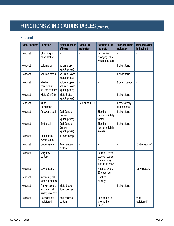# FUNCTIONS & INDICATORS TABLES (CONTINUED)

## **Headset**

| <b>Base/Headset</b> | <b>Function</b>                                      | <b>Button/Duration</b><br>of Press                    | <b>Base LED</b><br><b>Indicator</b> | <b>Headset LED</b><br><b>Indicator</b>                                  | <b>Headset Audio</b><br><b>Indicator</b> | <b>Voice Indicator</b><br>(in English) |
|---------------------|------------------------------------------------------|-------------------------------------------------------|-------------------------------------|-------------------------------------------------------------------------|------------------------------------------|----------------------------------------|
| Headset             | Charging in<br>base station                          | $\overline{a}$                                        |                                     | Red while<br>charging; blue<br>when charged                             | $\overline{a}$                           |                                        |
| Headset             | Volume up                                            | Volume Up<br>(quick press)                            | $\overline{a}$                      |                                                                         | 1 short tone                             | $\qquad \qquad \blacksquare$           |
| Headset             | Volume down                                          | <b>Volume Down</b><br>(quick press)                   | $\overline{a}$                      | $\overline{a}$                                                          | 1 short tone                             | $\frac{1}{2}$                          |
| Headset             | Maximum<br>or minimum<br>volume reached              | Volume Up or<br><b>Volume Down</b><br>(quick press)   | $\overline{a}$                      | $\overline{a}$                                                          | 3 quick beeps                            |                                        |
| Headset             | Mute (On/Off)                                        | <b>Mute Button</b><br>(quick press)                   | $\overline{\phantom{a}}$            | $\overline{a}$                                                          | 1 short tone                             | $\frac{1}{2}$                          |
| Headset             | Mute<br>Reminder                                     |                                                       | Red mute LED                        | $\frac{1}{2}$                                                           | 1 tone (every<br>15 seconds)             | $\blacksquare$                         |
| Headset             | Answer a call                                        | <b>Call Control</b><br><b>Button</b><br>(quick press) | $\overline{\phantom{a}}$            | <b>Blue light</b><br>flashes slightly<br>faster                         | 1 short tone                             | $\frac{1}{2}$                          |
| Headset             | End a call                                           | <b>Call Control</b><br><b>Button</b><br>(quick press) | $\overline{a}$                      | <b>Blue light</b><br>flashes slightly<br>slower                         | 1 short tone                             | $\overline{a}$                         |
| Headset             | Call control<br>key pressed                          | 1 short beep                                          |                                     |                                                                         |                                          |                                        |
| Headset             | Out of range                                         | Any headset<br>button                                 | $\overline{a}$                      | $\overline{a}$                                                          | $\overline{\phantom{m}}$                 | "Out of range"                         |
| Headset             | Very low<br>battery                                  |                                                       |                                     | Flashes 3 times,<br>pauses, repeats<br>3 more times,<br>then shuts down |                                          | $\overline{a}$                         |
| Headset             | Low battery                                          |                                                       |                                     | <b>Flashes every</b><br>20 seconds                                      |                                          | "Low battery"                          |
| Headset             | Incoming call<br>(analog mode)                       | $\overline{\phantom{0}}$                              |                                     | <b>Flashes</b><br>quickly                                               |                                          |                                        |
| Headset             | Answer second<br>incoming call<br>(analog mode only) | Mute button<br>(long press)                           | $\overline{a}$                      |                                                                         | 1 short tone                             | $\qquad \qquad \blacksquare$           |
| Headset             | Headset not<br>registered                            | Any headset<br>button                                 |                                     | Red and blue<br>alternating<br>flash                                    | $\qquad \qquad \blacksquare$             | "Not<br>registered"                    |